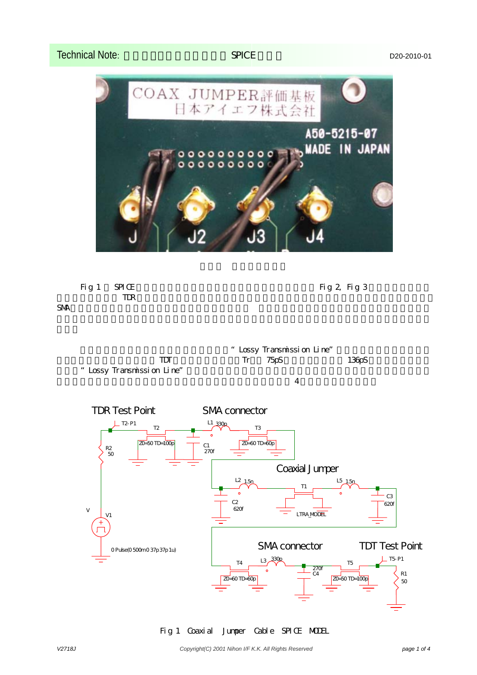## Technical Note: <br>
Technical Note: Property D20-2010-01





Lossy Transmission Line"  $TDT$  Tr  $75pS$   $136pS$ " Lossy Transmission Line"  $\overline{4}$ 



Fig 1 Coaxial Jumper Cable SPICE MODEL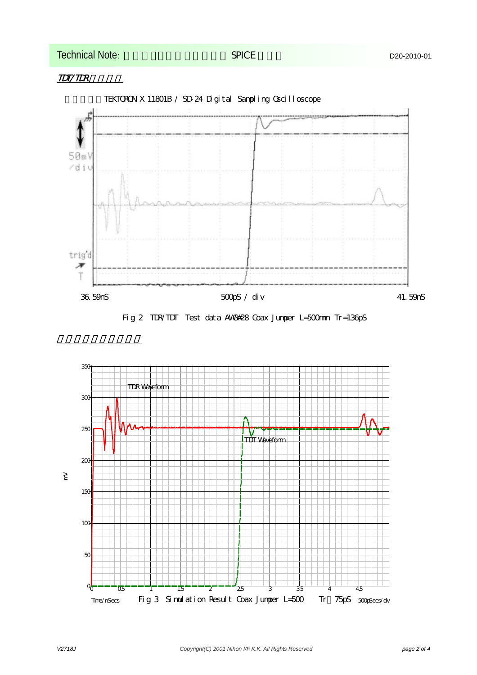## Technical Note: <br>
Technical Note: Property D20-2010-01







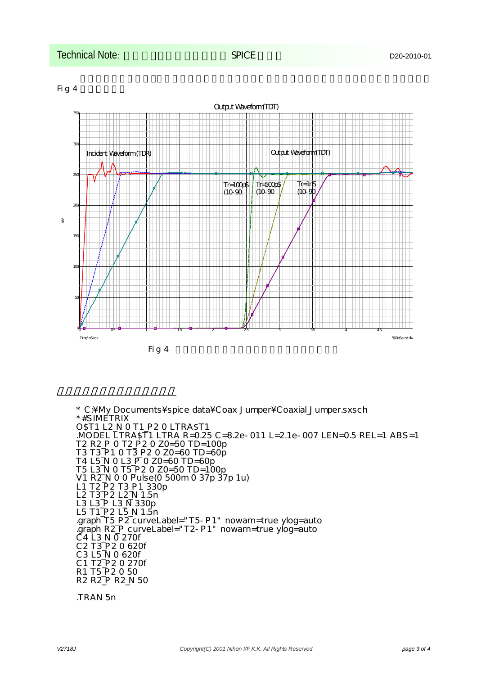



\* C:\My Documents\spice data\Coax Jumper\Coaxial\_Jumper.sxsch \*#SIMETRIX O\$T1 L2 N O T1 P2 O LTRA\$T1 .MODEL LTRA\$T1 LTRA R=0.25 C=8.2e-011 L=2.1e-007 LEN=0.5 REL=1 ABS=1 T2 R2\_P 0 T2\_P2 0 Z0=50 TD=100p T3 T3\_P1 0 T3\_P2 0 Z0=60 TD=60p  $T4$  L5 N O L3 P O Z0=60 TD=60p T5 L3\_N 0 T5\_P2 0 Z0=50 TD=100p V1 R2\_N 0 0 Pulse(0 500m 0 37p 37p 1u)  $L1$  T2 $\bar{P}$ 2 T3 $\bar{P}$ 1 330p L2 T3\_P2 L2\_N 1.5n L3 L3\_P L3\_N 330p L5 T1\_P2 L5\_N 1.5n .graph T5\_P2 curveLabel="T5-P1" nowarn=true ylog=auto .graph R2\_P curveLabel="T2-P1" nowarn=true ylog=auto C4 L3\_N 0 270f C2 T3\_P2 0 620f C3 L5\_N 0 620f C1 T2\_P2 0 270f R1 T5\_P2 0 50 R2 R2\_P R2\_N 50

.TRAN 5n